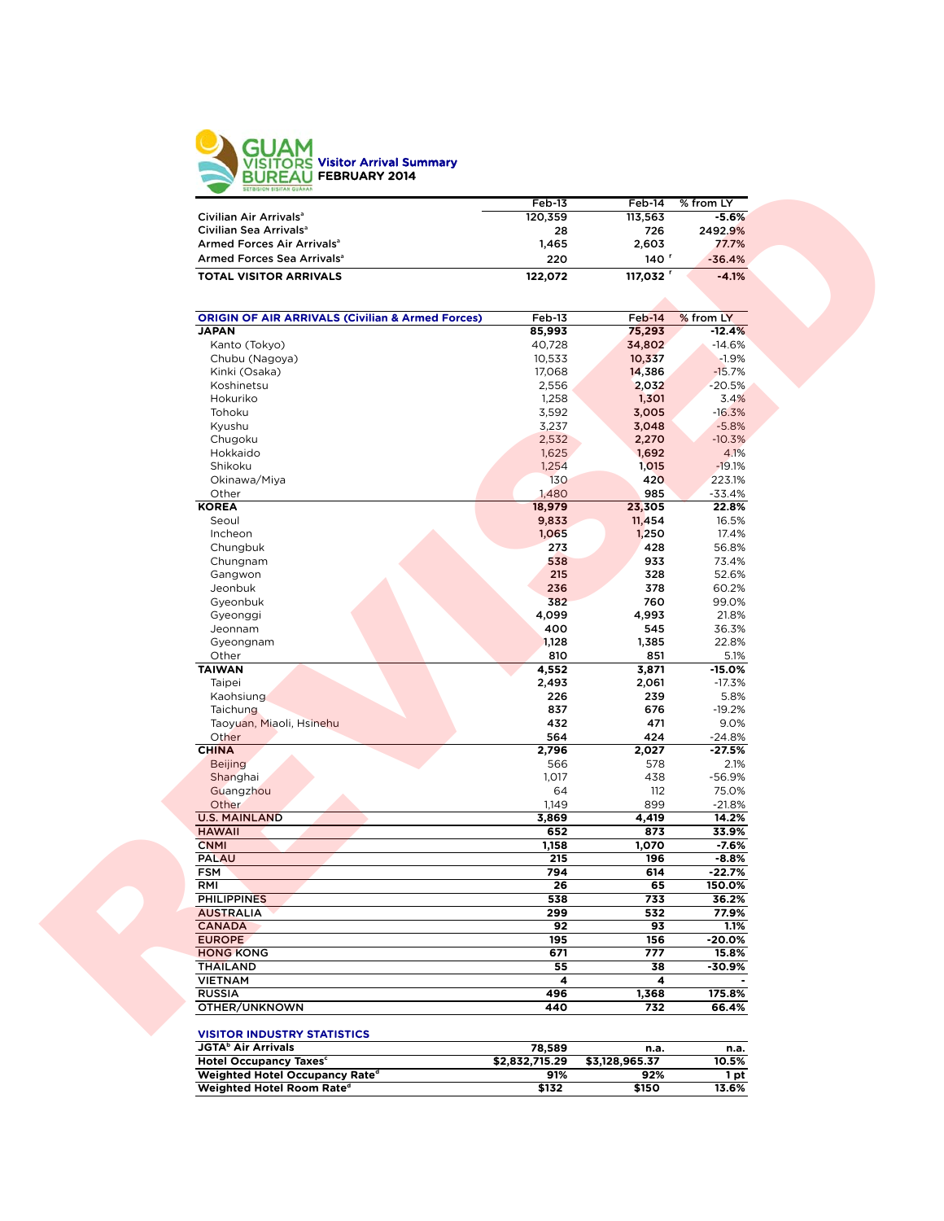

|                                                             | $Feb-13$       | Feb-14           | % from LY          |
|-------------------------------------------------------------|----------------|------------------|--------------------|
| Civilian Air Arrivals <sup>a</sup>                          | 120,359        | 113,563          | $-5.6%$            |
| Civilian Sea Arrivals <sup>a</sup>                          | 28             | 726              | 2492.9%            |
| Armed Forces Air Arrivals <sup>a</sup>                      | 1,465          | 2,603            | 77.7%              |
| Armed Forces Sea Arrivals <sup>a</sup>                      | 220            | 140 <sup>r</sup> | $-36.4%$           |
| <b>TOTAL VISITOR ARRIVALS</b>                               | 122,072        | 117,032          | $-4.1%$            |
|                                                             |                |                  |                    |
| <b>ORIGIN OF AIR ARRIVALS (Civilian &amp; Armed Forces)</b> | Feb-13         | Feb-14           | % from LY          |
| <b>JAPAN</b>                                                | 85,993         | 75,293           | $-12.4%$           |
| Kanto (Tokyo)                                               | 40,728         | 34,802           | $-14.6%$           |
| Chubu (Nagoya)                                              | 10,533         | 10,337           | $-1.9%$            |
| Kinki (Osaka)                                               | 17,068         | 14,386           | $-15.7%$           |
| Koshinetsu                                                  | 2,556          | 2,032            | $-20.5%$           |
| Hokuriko                                                    | 1,258          | 1,301            | 3.4%               |
| Tohoku                                                      | 3,592          | 3,005            | $-16.3%$           |
| Kyushu                                                      | 3,237          | 3,048            | $-5.8%$            |
| Chugoku                                                     | 2,532          | 2,270            | $-10.3%$           |
| Hokkaido                                                    | 1,625          | 1,692            | 4.1%               |
| Shikoku                                                     | 1,254          | 1,015            | $-19.1%$           |
| Okinawa/Miya<br>Other                                       | 130<br>1,480   | 420<br>985       | 223.1%<br>$-33.4%$ |
| <b>KOREA</b>                                                | 18,979         | 23,305           | 22.8%              |
| Seoul                                                       | 9,833          | 11,454           | 16.5%              |
| Incheon                                                     | 1,065          | 1,250            | 17.4%              |
| Chungbuk                                                    | 273            | 428              | 56.8%              |
| Chungnam                                                    | 538            | 933              | 73.4%              |
| Gangwon                                                     | 215            | 328              | 52.6%              |
| Jeonbuk                                                     | 236            | 378              | 60.2%              |
| Gyeonbuk                                                    | 382            | 760              | 99.0%              |
| Gyeonggi                                                    | 4,099          | 4,993            | 21.8%              |
| Jeonnam                                                     | 400            | 545              | 36.3%              |
| Gyeongnam                                                   | 1,128          | 1,385            | 22.8%              |
| Other                                                       | 810            | 851              | 5.1%               |
| <b>TAIWAN</b>                                               | 4,552          | 3,871            | $-15.0%$           |
| Taipei                                                      | 2,493          | 2,061            | $-17.3%$           |
| Kaohsiung                                                   | 226            | 239              | 5.8%               |
| Taichung                                                    | 837            | 676              | $-19.2%$           |
| Taoyuan, Miaoli, Hsinehu                                    | 432            | 471              | 9.0%               |
| Other                                                       | 564            | 424              | $-24.8%$           |
| <b>CHINA</b>                                                | 2,796          | 2,027            | $-27.5%$           |
| <b>Beijing</b>                                              | 566            | 578              | 2.1%               |
| Shanghai                                                    | 1,017          | 438              | $-56.9%$           |
| Guangzhou                                                   | 64             | 112              | 75.0%              |
| Other                                                       | 1,149          | 899              | $-21.8%$           |
| <b>U.S. MAINLAND</b>                                        | 3,869          | 4,419            | 14.2%              |
| <b>HAWAII</b>                                               | 652            | 873              | 33.9%              |
| <b>CNMI</b>                                                 | 1,158          | 1,070            | $-7.6%$            |
| <b>PALAU</b>                                                | 215            | 196              | $-8.8%$            |
| <b>FSM</b>                                                  | 794            | 614              | $-22.7%$           |
| RMI                                                         | 26             | 65               | 150.0%             |
| <b>PHILIPPINES</b>                                          | 538            | 733<br>532       | 36.2%<br>77.9%     |
| <b>AUSTRALIA</b><br><b>CANADA</b>                           | 299            |                  |                    |
| <b>EUROPE</b>                                               | 92<br>195      | 93<br>156        | 1.1%<br>-20.0%     |
| <b>HONG KONG</b>                                            | 671            | 777              |                    |
|                                                             | 55             | 38               | 15.8%              |
| <b>THAILAND</b><br><b>VIETNAM</b>                           | 4              | 4                | -30.9%             |
| <b>RUSSIA</b>                                               | 496            | 1,368            | 175.8%             |
| OTHER/UNKNOWN                                               | 440            | 732              | 66.4%              |
| <b>VISITOR INDUSTRY STATISTICS</b>                          |                |                  |                    |
| <b>JGTA</b> <sup>b</sup> Air Arrivals                       | 78,589         | n.a.             | n.a.               |
| Hotel Occupancy Taxes <sup>c</sup>                          | \$2,832,715.29 | \$3,128,965.37   | 10.5%              |
| Weighted Hotel Occupancy Rate <sup>d</sup>                  | 91%            | 92%              | 1 pt               |
|                                                             |                | \$150            | 13.6%              |